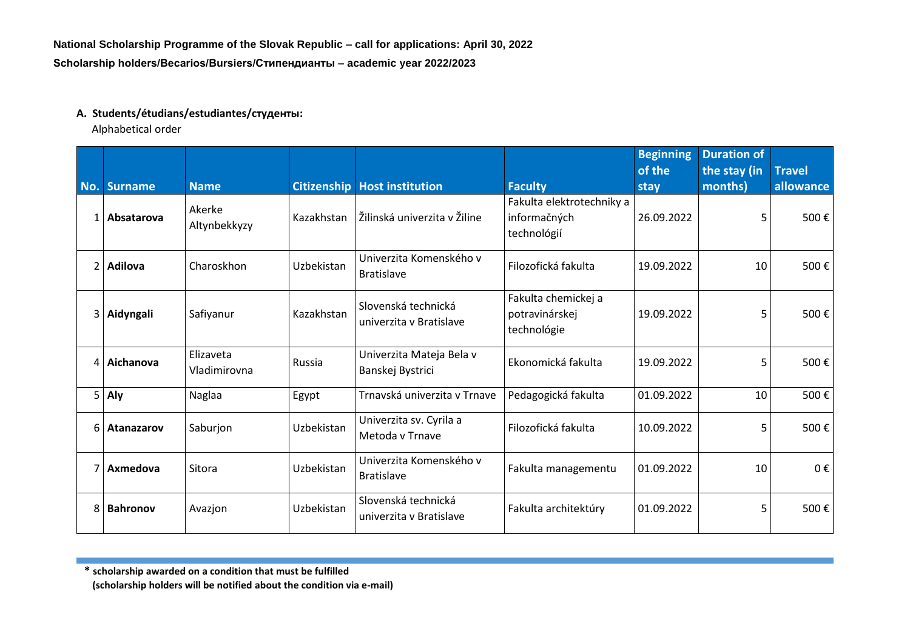## **A. Students/étudians/estudiantes/студенты:**

Alphabetical order

|     |                 |                           |            |                                                |                                                          | <b>Beginning</b><br>of the | <b>Duration of</b><br>the stay (in | <b>Travel</b> |
|-----|-----------------|---------------------------|------------|------------------------------------------------|----------------------------------------------------------|----------------------------|------------------------------------|---------------|
| No. | <b>Surname</b>  | <b>Name</b>               |            | <b>Citizenship Host institution</b>            | <b>Faculty</b>                                           | stay                       | months)                            | allowance     |
| 1   | Absatarova      | Akerke<br>Altynbekkyzy    | Kazakhstan | Žilinská univerzita v Žiline                   | Fakulta elektrotechniky a<br>informačných<br>technológií | 26.09.2022                 | 5                                  | 500€          |
| 2   | <b>Adilova</b>  | Charoskhon                | Uzbekistan | Univerzita Komenského v<br><b>Bratislave</b>   | Filozofická fakulta                                      | 19.09.2022                 | 10                                 | 500€          |
| 3   | Aidyngali       | Safiyanur                 | Kazakhstan | Slovenská technická<br>univerzita v Bratislave | Fakulta chemickej a<br>potravinárskej<br>technológie     | 19.09.2022                 | 5                                  | 500€          |
| 4   | Aichanova       | Elizaveta<br>Vladimirovna | Russia     | Univerzita Mateja Bela v<br>Banskej Bystrici   | Ekonomická fakulta                                       | 19.09.2022                 | 5                                  | 500€          |
|     | $5$ Aly         | Naglaa                    | Egypt      | Trnavská univerzita v Trnave                   | Pedagogická fakulta                                      | 01.09.2022                 | 10                                 | 500€          |
| 6   | Atanazarov      | Saburjon                  | Uzbekistan | Univerzita sv. Cyrila a<br>Metoda v Trnave     | Filozofická fakulta                                      | 10.09.2022                 | 5                                  | 500€          |
|     | Axmedova        | Sitora                    | Uzbekistan | Univerzita Komenského v<br><b>Bratislave</b>   | Fakulta managementu                                      | 01.09.2022                 | 10                                 | 0€            |
| 8   | <b>Bahronov</b> | Avazjon                   | Uzbekistan | Slovenská technická<br>univerzita v Bratislave | Fakulta architektúry                                     | 01.09.2022                 | 5                                  | 500€          |

**\* scholarship awarded on a condition that must be fulfilled**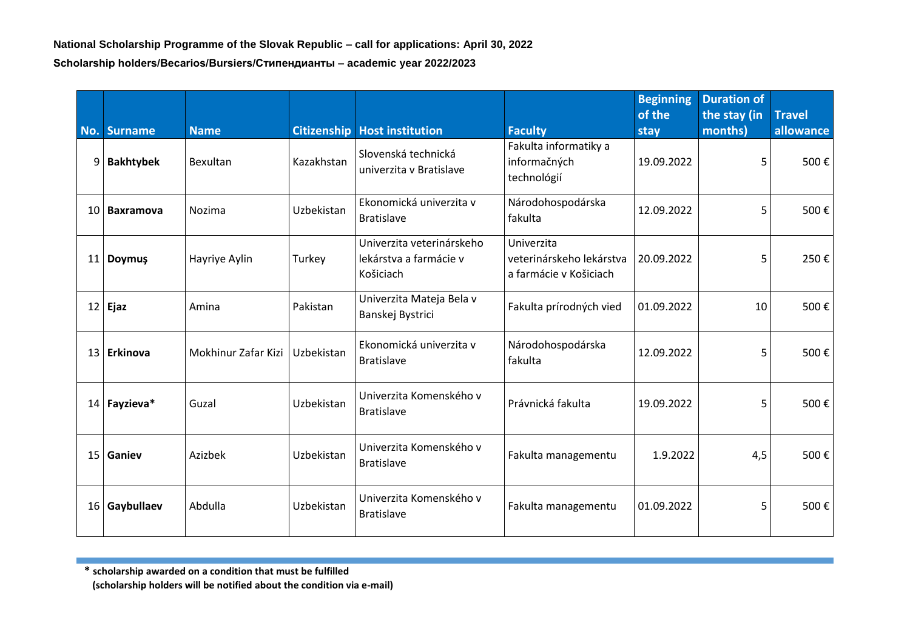| No. Surname   | <b>Name</b>         | <b>Citizenship</b> | <b>Host institution</b>                                          | <b>Faculty</b>                                                   | <b>Beginning</b><br>of the<br>stay | <b>Duration of</b><br>the stay (in<br>months) | <b>Travel</b><br>allowance |
|---------------|---------------------|--------------------|------------------------------------------------------------------|------------------------------------------------------------------|------------------------------------|-----------------------------------------------|----------------------------|
| 9 Bakhtybek   | Bexultan            | Kazakhstan         | Slovenská technická<br>univerzita v Bratislave                   | Fakulta informatiky a<br>informačných<br>technológií             | 19.09.2022                         | 5                                             | 500€                       |
| 10 Baxramova  | Nozima              | Uzbekistan         | Ekonomická univerzita v<br><b>Bratislave</b>                     | Národohospodárska<br>fakulta                                     | 12.09.2022                         | 5                                             | 500€                       |
| 11 Doymuş     | Hayriye Aylin       | Turkey             | Univerzita veterinárskeho<br>lekárstva a farmácie v<br>Košiciach | Univerzita<br>veterinárskeho lekárstva<br>a farmácie v Košiciach | 20.09.2022                         | 5                                             | 250€                       |
| $12$ Ejaz     | Amina               | Pakistan           | Univerzita Mateja Bela v<br>Banskej Bystrici                     | Fakulta prírodných vied                                          | 01.09.2022                         | 10                                            | 500€                       |
| 13 Erkinova   | Mokhinur Zafar Kizi | Uzbekistan         | Ekonomická univerzita v<br><b>Bratislave</b>                     | Národohospodárska<br>fakulta                                     | 12.09.2022                         | 5                                             | 500€                       |
| 14 Fayzieva*  | Guzal               | Uzbekistan         | Univerzita Komenského v<br><b>Bratislave</b>                     | Právnická fakulta                                                | 19.09.2022                         | 5                                             | 500€                       |
| 15 Ganiev     | Azizbek             | Uzbekistan         | Univerzita Komenského v<br><b>Bratislave</b>                     | Fakulta managementu                                              | 1.9.2022                           | 4,5                                           | 500€                       |
| 16 Gaybullaev | Abdulla             | Uzbekistan         | Univerzita Komenského v<br><b>Bratislave</b>                     | Fakulta managementu                                              | 01.09.2022                         | 5                                             | 500€                       |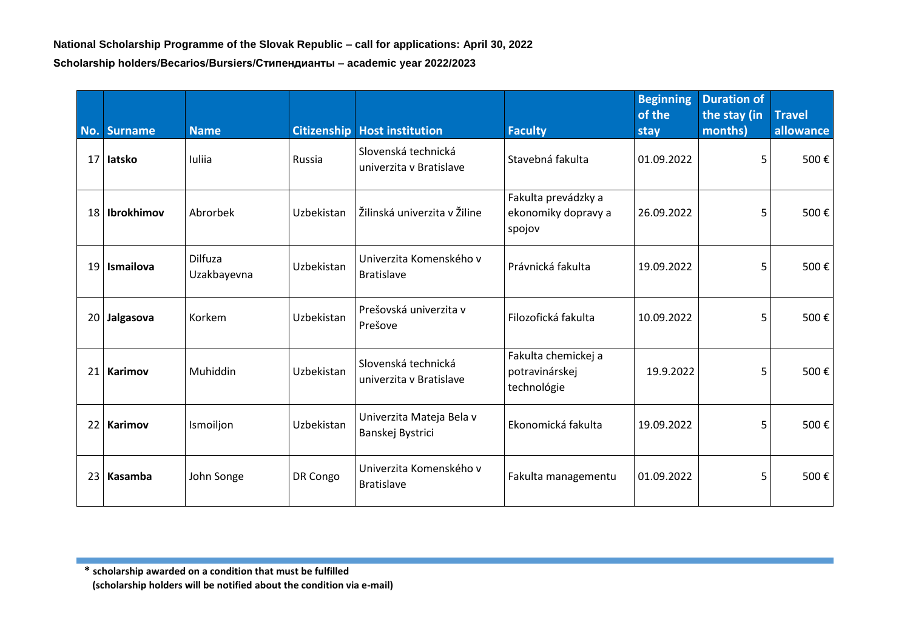| No. | <b>Surname</b>  | <b>Name</b>                   |            | <b>Citizenship   Host institution</b>          | <b>Faculty</b>                                       | <b>Beginning</b><br>of the<br>stay | <b>Duration of</b><br>the stay (in<br>months) | <b>Travel</b><br>allowance |
|-----|-----------------|-------------------------------|------------|------------------------------------------------|------------------------------------------------------|------------------------------------|-----------------------------------------------|----------------------------|
|     | 17 latsko       | Iuliia                        | Russia     | Slovenská technická<br>univerzita y Bratislave | Stavebná fakulta                                     | 01.09.2022                         | 5                                             | 500€                       |
|     | 18   Ibrokhimov | Abrorbek                      | Uzbekistan | Žilinská univerzita v Žiline                   | Fakulta prevádzky a<br>ekonomiky dopravy a<br>spojov | 26.09.2022                         | 5                                             | 500€                       |
|     | 19 Ismailova    | <b>Dilfuza</b><br>Uzakbayevna | Uzbekistan | Univerzita Komenského v<br><b>Bratislave</b>   | Právnická fakulta                                    | 19.09.2022                         | 5                                             | 500€                       |
|     | 20 Jalgasova    | Korkem                        | Uzbekistan | Prešovská univerzita v<br>Prešove              | Filozofická fakulta                                  | 10.09.2022                         | 5                                             | 500€                       |
| 21  | Karimov         | Muhiddin                      | Uzbekistan | Slovenská technická<br>univerzita v Bratislave | Fakulta chemickej a<br>potravinárskej<br>technológie | 19.9.2022                          | 5                                             | 500€                       |
| 22  | <b>Karimov</b>  | Ismoiljon                     | Uzbekistan | Univerzita Mateja Bela v<br>Banskej Bystrici   | Ekonomická fakulta                                   | 19.09.2022                         | 5                                             | 500€                       |
| 23  | Kasamba         | John Songe                    | DR Congo   | Univerzita Komenského v<br><b>Bratislave</b>   | Fakulta managementu                                  | 01.09.2022                         | 5                                             | 500€                       |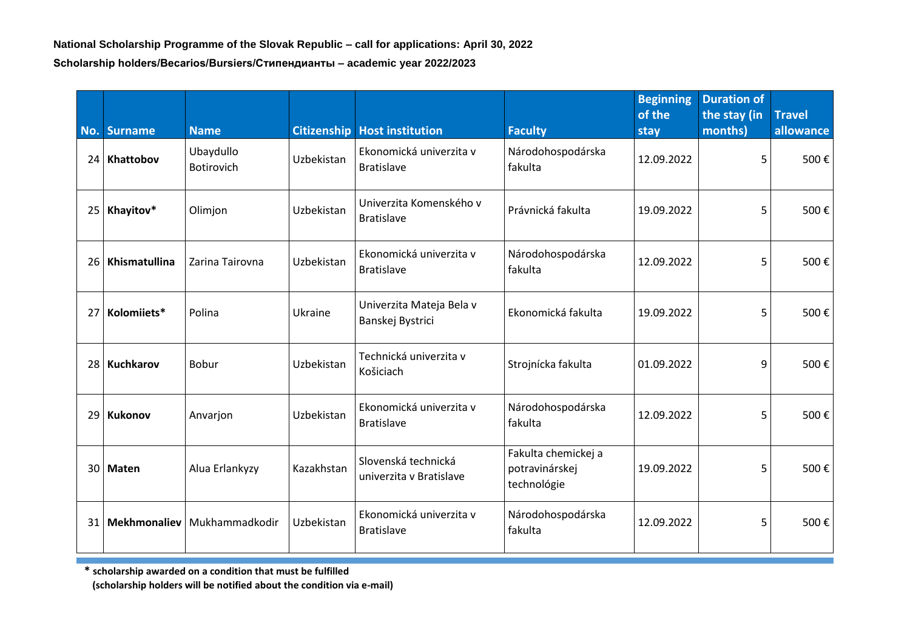|    | No. Surname   | <b>Name</b>                    |            | <b>Citizenship Host institution</b>            | <b>Faculty</b>                                       | <b>Beginning</b><br>of the<br>stay | <b>Duration of</b><br>the stay (in<br>months) | <b>Travel</b><br>allowance |
|----|---------------|--------------------------------|------------|------------------------------------------------|------------------------------------------------------|------------------------------------|-----------------------------------------------|----------------------------|
|    | 24 Khattobov  | Ubaydullo<br><b>Botirovich</b> | Uzbekistan | Ekonomická univerzita v<br><b>Bratislave</b>   | Národohospodárska<br>fakulta                         | 12.09.2022                         | 5                                             | 500€                       |
| 25 | Khayitov*     | Olimjon                        | Uzbekistan | Univerzita Komenského v<br><b>Bratislave</b>   | Právnická fakulta                                    | 19.09.2022                         | 5                                             | 500€                       |
| 26 | Khismatullina | Zarina Tairovna                | Uzbekistan | Ekonomická univerzita v<br><b>Bratislave</b>   | Národohospodárska<br>fakulta                         | 12.09.2022                         | 5                                             | 500€                       |
| 27 | Kolomiiets*   | Polina                         | Ukraine    | Univerzita Mateja Bela v<br>Banskej Bystrici   | Ekonomická fakulta                                   | 19.09.2022                         | 5                                             | 500€                       |
| 28 | Kuchkarov     | Bobur                          | Uzbekistan | Technická univerzita v<br>Košiciach            | Strojnícka fakulta                                   | 01.09.2022                         | 9                                             | 500€                       |
| 29 | Kukonov       | Anvarjon                       | Uzbekistan | Ekonomická univerzita v<br><b>Bratislave</b>   | Národohospodárska<br>fakulta                         | 12.09.2022                         | 5                                             | 500€                       |
|    | 30 Maten      | Alua Erlankyzy                 | Kazakhstan | Slovenská technická<br>univerzita v Bratislave | Fakulta chemickej a<br>potravinárskej<br>technológie | 19.09.2022                         | 5                                             | 500€                       |
| 31 | Mekhmonaliev  | Mukhammadkodir                 | Uzbekistan | Ekonomická univerzita v<br><b>Bratislave</b>   | Národohospodárska<br>fakulta                         | 12.09.2022                         | 5                                             | 500€                       |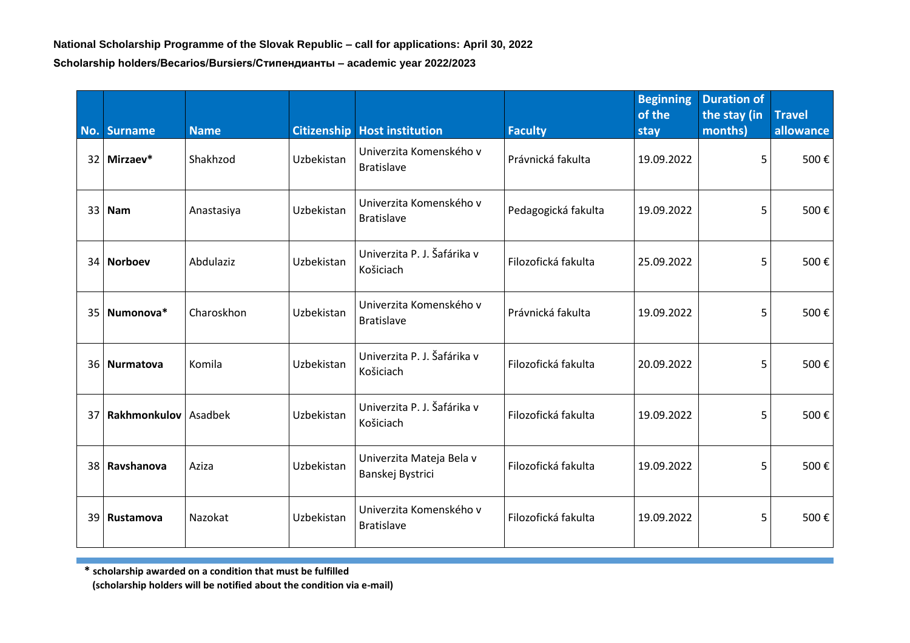| No. | <b>Surname</b>              | <b>Name</b> |            | <b>Citizenship Host institution</b>          | <b>Faculty</b>      | <b>Beginning</b><br>of the<br>stay | <b>Duration of</b><br>the stay (in<br>months) | <b>Travel</b><br>allowance |
|-----|-----------------------------|-------------|------------|----------------------------------------------|---------------------|------------------------------------|-----------------------------------------------|----------------------------|
|     | 32 Mirzaev*                 | Shakhzod    | Uzbekistan | Univerzita Komenského v<br><b>Bratislave</b> | Právnická fakulta   | 19.09.2022                         | 5                                             | 500€                       |
|     | $33$ Nam                    | Anastasiya  | Uzbekistan | Univerzita Komenského v<br><b>Bratislave</b> | Pedagogická fakulta | 19.09.2022                         | 5                                             | 500€                       |
|     | 34 Norboev                  | Abdulaziz   | Uzbekistan | Univerzita P. J. Šafárika v<br>Košiciach     | Filozofická fakulta | 25.09.2022                         | 5                                             | 500€                       |
| 35  | Numonova*                   | Charoskhon  | Uzbekistan | Univerzita Komenského v<br><b>Bratislave</b> | Právnická fakulta   | 19.09.2022                         | 5                                             | 500€                       |
|     | 36 Nurmatova                | Komila      | Uzbekistan | Univerzita P. J. Šafárika v<br>Košiciach     | Filozofická fakulta | 20.09.2022                         | 5                                             | 500€                       |
| 37  | <b>Rakhmonkulov</b> Asadbek |             | Uzbekistan | Univerzita P. J. Šafárika v<br>Košiciach     | Filozofická fakulta | 19.09.2022                         | 5                                             | 500€                       |
| 38  | Ravshanova                  | Aziza       | Uzbekistan | Univerzita Mateja Bela v<br>Banskej Bystrici | Filozofická fakulta | 19.09.2022                         | 5                                             | 500€                       |
|     | 39 Rustamova                | Nazokat     | Uzbekistan | Univerzita Komenského v<br><b>Bratislave</b> | Filozofická fakulta | 19.09.2022                         | 5                                             | 500€                       |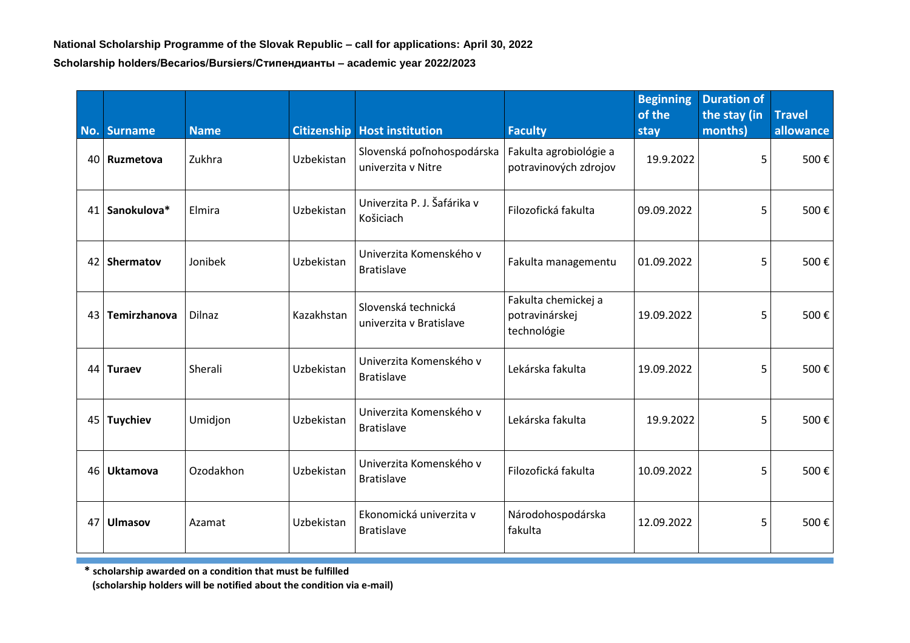|    | No. Surname      | <b>Name</b>   |            | <b>Citizenship Host institution</b>              | <b>Faculty</b>                                       | <b>Beginning</b><br>of the<br>stay | <b>Duration of</b><br>the stay (in<br>months) | <b>Travel</b><br>allowance |
|----|------------------|---------------|------------|--------------------------------------------------|------------------------------------------------------|------------------------------------|-----------------------------------------------|----------------------------|
| 40 | <b>Ruzmetova</b> | Zukhra        | Uzbekistan | Slovenská poľnohospodárska<br>univerzita v Nitre | Fakulta agrobiológie a<br>potravinových zdrojov      | 19.9.2022                          | 5                                             | 500€                       |
| 41 | Sanokulova*      | Elmira        | Uzbekistan | Univerzita P. J. Šafárika v<br>Košiciach         | Filozofická fakulta                                  | 09.09.2022                         | 5                                             | 500€                       |
| 42 | <b>Shermatov</b> | Jonibek       | Uzbekistan | Univerzita Komenského v<br><b>Bratislave</b>     | Fakulta managementu                                  | 01.09.2022                         | 5                                             | 500€                       |
| 43 | Temirzhanova     | <b>Dilnaz</b> | Kazakhstan | Slovenská technická<br>univerzita v Bratislave   | Fakulta chemickej a<br>potravinárskej<br>technológie | 19.09.2022                         | 5                                             | 500€                       |
| 44 | <b>Turaev</b>    | Sherali       | Uzbekistan | Univerzita Komenského v<br><b>Bratislave</b>     | Lekárska fakulta                                     | 19.09.2022                         | 5                                             | 500€                       |
| 45 | <b>Tuychiev</b>  | Umidjon       | Uzbekistan | Univerzita Komenského v<br><b>Bratislave</b>     | Lekárska fakulta                                     | 19.9.2022                          | 5                                             | 500€                       |
| 46 | <b>Uktamova</b>  | Ozodakhon     | Uzbekistan | Univerzita Komenského v<br><b>Bratislave</b>     | Filozofická fakulta                                  | 10.09.2022                         | 5                                             | 500€                       |
| 47 | <b>Ulmasov</b>   | Azamat        | Uzbekistan | Ekonomická univerzita v<br><b>Bratislave</b>     | Národohospodárska<br>fakulta                         | 12.09.2022                         | 5                                             | 500€                       |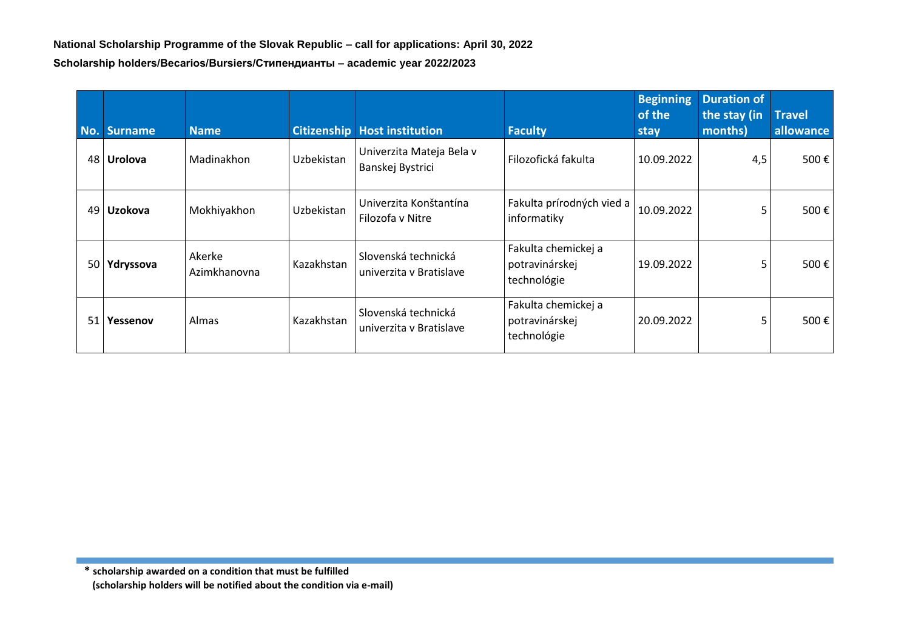| No. | <b>Surname</b> | <b>Name</b>            |            | <b>Citizenship   Host institution</b>          | <b>Faculty</b>                                       | <b>Beginning</b><br>of the<br>stay | <b>Duration of</b><br>the stay (in<br>months) | <b>Travel</b><br>allowance |
|-----|----------------|------------------------|------------|------------------------------------------------|------------------------------------------------------|------------------------------------|-----------------------------------------------|----------------------------|
| 48  | <b>Urolova</b> | Madinakhon             | Uzbekistan | Univerzita Mateja Bela v<br>Banskej Bystrici   | Filozofická fakulta                                  | 10.09.2022                         | 4,5                                           | 500€                       |
| 49  | Uzokova        | Mokhiyakhon            | Uzbekistan | Univerzita Konštantína<br>Filozofa v Nitre     | Fakulta prírodných vied a<br>informatiky             | 10.09.2022                         | 5                                             | 500€                       |
| 50  | Ydryssova      | Akerke<br>Azimkhanovna | Kazakhstan | Slovenská technická<br>univerzita y Bratislave | Fakulta chemickej a<br>potravinárskej<br>technológie | 19.09.2022                         | 5                                             | 500€                       |
| 51  | Yessenov       | Almas                  | Kazakhstan | Slovenská technická<br>univerzita y Bratislave | Fakulta chemickej a<br>potravinárskej<br>technológie | 20.09.2022                         | 5                                             | 500€                       |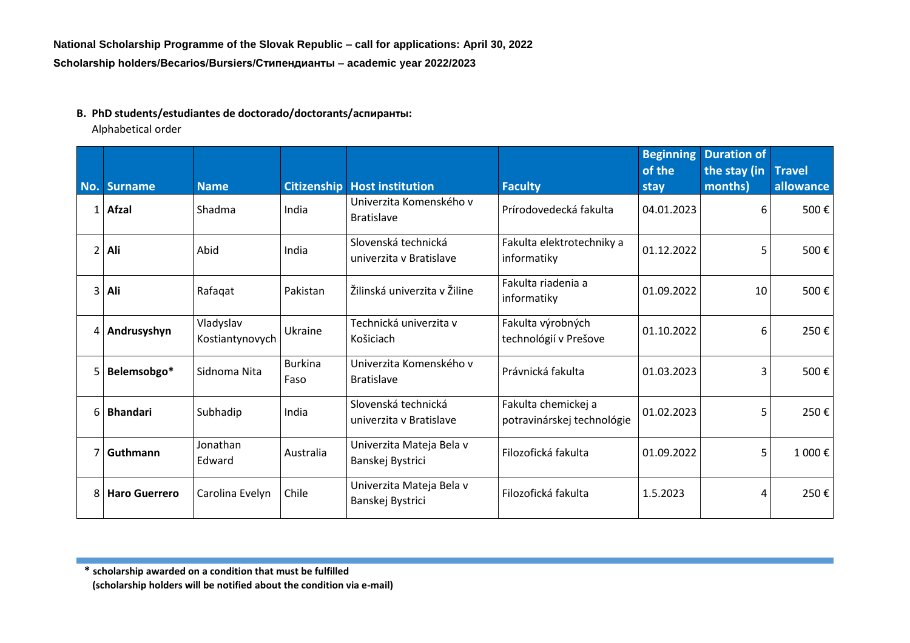## **B. PhD students/estudiantes de doctorado/doctorants/аспиранты:**

Alphabetical order

|     |                      |                              |                        |                                                |                                                   | <b>Beginning</b><br>of the | <b>Duration of</b><br>the stay (in | <b>Travel</b> |
|-----|----------------------|------------------------------|------------------------|------------------------------------------------|---------------------------------------------------|----------------------------|------------------------------------|---------------|
| No. | Surname              | <b>Name</b>                  | <b>Citizenship</b>     | <b>Host institution</b>                        | <b>Faculty</b>                                    | stay                       | months)                            | allowance     |
|     | 1 Afzal              | Shadma                       | India                  | Univerzita Komenského v<br><b>Bratislave</b>   | Prírodovedecká fakulta                            | 04.01.2023                 | 6                                  | 500€          |
|     | 2 Ali                | Abid                         | India                  | Slovenská technická<br>univerzita v Bratislave | Fakulta elektrotechniky a<br>informatiky          | 01.12.2022                 | 5                                  | 500€          |
|     | 3 Ali                | Rafaqat                      | Pakistan               | Žilinská univerzita v Žiline                   | Fakulta riadenia a<br>informatiky                 | 01.09.2022                 | 10                                 | 500€          |
|     | 4 Andrusyshyn        | Vladyslav<br>Kostiantynovych | Ukraine                | Technická univerzita v<br>Košiciach            | Fakulta výrobných<br>technológií v Prešove        | 01.10.2022                 | 6                                  | 250€          |
|     | 5 Belemsobgo*        | Sidnoma Nita                 | <b>Burkina</b><br>Faso | Univerzita Komenského v<br><b>Bratislave</b>   | Právnická fakulta                                 | 01.03.2023                 | 3                                  | 500€          |
|     | 6   Bhandari         | Subhadip                     | India                  | Slovenská technická<br>univerzita y Bratislave | Fakulta chemickej a<br>potravinárskej technológie | 01.02.2023                 | 5                                  | 250€          |
|     | 7 Guthmann           | Jonathan<br>Edward           | Australia              | Univerzita Mateja Bela v<br>Banskej Bystrici   | Filozofická fakulta                               | 01.09.2022                 | 5                                  | 1 000€        |
| 81  | <b>Haro Guerrero</b> | Carolina Evelyn              | Chile                  | Univerzita Mateja Bela v<br>Banskej Bystrici   | Filozofická fakulta                               | 1.5.2023                   | 4                                  | 250€          |

**\* scholarship awarded on a condition that must be fulfilled**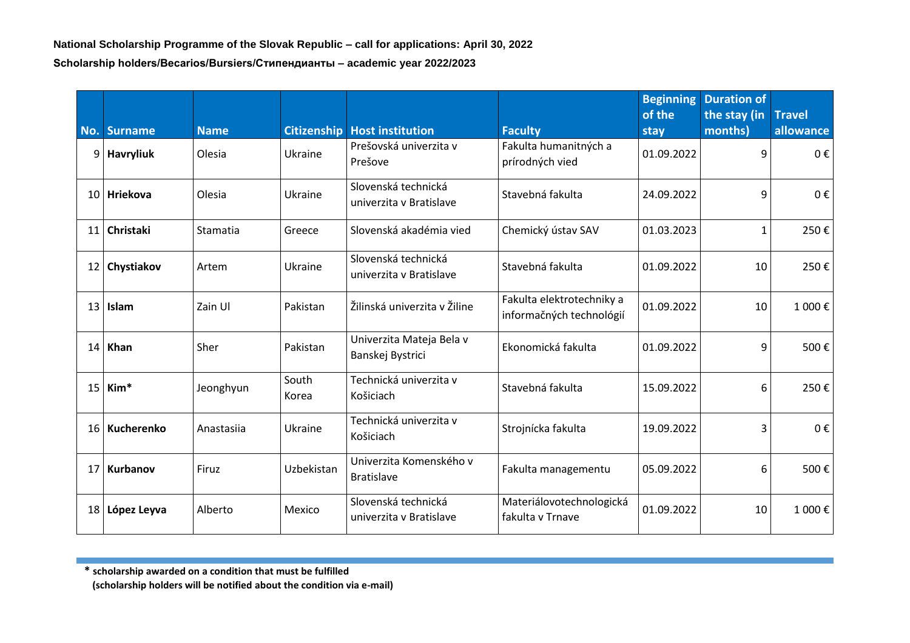| No.             | <b>Surname</b>   | <b>Name</b> | <b>Citizenship</b> | <b>Host institution</b>                        | <b>Faculty</b>                                        | <b>Beginning</b><br>of the<br>stay | <b>Duration of</b><br>the stay (in<br>months) | <b>Travel</b><br>allowance |
|-----------------|------------------|-------------|--------------------|------------------------------------------------|-------------------------------------------------------|------------------------------------|-----------------------------------------------|----------------------------|
| 9 <sup>1</sup>  | <b>Havryliuk</b> | Olesia      | Ukraine            | Prešovská univerzita v<br>Prešove              | Fakulta humanitných a<br>prírodných vied              | 01.09.2022                         | 9                                             | 0€                         |
|                 | 10 Hriekova      | Olesia      | Ukraine            | Slovenská technická<br>univerzita v Bratislave | Stavebná fakulta                                      | 24.09.2022                         | 9                                             | 0€                         |
| 11              | Christaki        | Stamatia    | Greece             | Slovenská akadémia vied                        | Chemický ústav SAV                                    | 01.03.2023                         | 1                                             | 250€                       |
|                 | 12 Chystiakov    | Artem       | Ukraine            | Slovenská technická<br>univerzita v Bratislave | Stavebná fakulta                                      | 01.09.2022                         | 10                                            | 250€                       |
| 13 <sup>1</sup> | Islam            | Zain Ul     | Pakistan           | Žilinská univerzita v Žiline                   | Fakulta elektrotechniky a<br>informačných technológií | 01.09.2022                         | 10                                            | 1 000€                     |
| 14              | Khan             | Sher        | Pakistan           | Univerzita Mateja Bela v<br>Banskej Bystrici   | Ekonomická fakulta                                    | 01.09.2022                         | 9                                             | 500€                       |
| 15 <sup>1</sup> | Kim <sup>*</sup> | Jeonghyun   | South<br>Korea     | Technická univerzita v<br>Košiciach            | Stavebná fakulta                                      | 15.09.2022                         | 6                                             | 250€                       |
|                 | 16 Kucherenko    | Anastasiia  | Ukraine            | Technická univerzita v<br>Košiciach            | Strojnícka fakulta                                    | 19.09.2022                         | 3                                             | 0€                         |
| 17 <sup>1</sup> | Kurbanov         | Firuz       | Uzbekistan         | Univerzita Komenského v<br><b>Bratislave</b>   | Fakulta managementu                                   | 05.09.2022                         | 6                                             | 500€                       |
|                 | 18 López Leyva   | Alberto     | Mexico             | Slovenská technická<br>univerzita y Bratislave | Materiálovotechnologická<br>fakulta v Trnave          | 01.09.2022                         | 10                                            | 1 000€                     |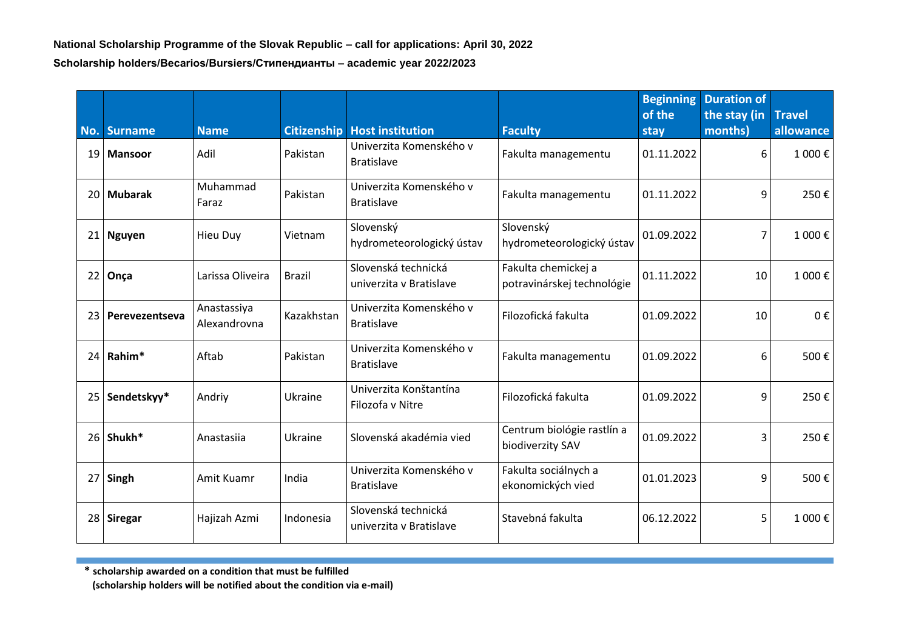| No.             | <b>Surname</b> | <b>Name</b>                 | <b>Citizenship</b> | <b>Host institution</b>                        | <b>Faculty</b>                                    | <b>Beginning</b><br>of the<br>stay | <b>Duration of</b><br>the stay (in<br>months) | <b>Travel</b><br>allowance |
|-----------------|----------------|-----------------------------|--------------------|------------------------------------------------|---------------------------------------------------|------------------------------------|-----------------------------------------------|----------------------------|
| 19 <sub>1</sub> | <b>Mansoor</b> | Adil                        | Pakistan           | Univerzita Komenského v<br><b>Bratislave</b>   | Fakulta managementu                               | 01.11.2022                         | 6                                             | 1 000€                     |
| 20 <sup>1</sup> | <b>Mubarak</b> | Muhammad<br>Faraz           | Pakistan           | Univerzita Komenského v<br><b>Bratislave</b>   | Fakulta managementu                               | 01.11.2022                         | 9                                             | 250€                       |
|                 | 21   Nguyen    | <b>Hieu Duy</b>             | Vietnam            | Slovenský<br>hydrometeorologický ústav         | Slovenský<br>hydrometeorologický ústav            | 01.09.2022                         | $\overline{7}$                                | 1 000€                     |
| 22              | Onça           | Larissa Oliveira            | <b>Brazil</b>      | Slovenská technická<br>univerzita v Bratislave | Fakulta chemickej a<br>potravinárskej technológie | 01.11.2022                         | 10                                            | 1 000€                     |
| 23 <sub>1</sub> | Perevezentseva | Anastassiya<br>Alexandrovna | Kazakhstan         | Univerzita Komenského v<br><b>Bratislave</b>   | Filozofická fakulta                               | 01.09.2022                         | 10                                            | 0€                         |
|                 | $24$ Rahim*    | Aftab                       | Pakistan           | Univerzita Komenského v<br><b>Bratislave</b>   | Fakulta managementu                               | 01.09.2022                         | 6                                             | 500€                       |
| 25              | Sendetskyy*    | Andriy                      | Ukraine            | Univerzita Konštantína<br>Filozofa v Nitre     | Filozofická fakulta                               | 01.09.2022                         | 9                                             | 250€                       |
|                 | 26 Shukh*      | Anastasiia                  | Ukraine            | Slovenská akadémia vied                        | Centrum biológie rastlín a<br>biodiverzity SAV    | 01.09.2022                         | 3                                             | 250€                       |
| 27 <sup>1</sup> | Singh          | Amit Kuamr                  | India              | Univerzita Komenského v<br><b>Bratislave</b>   | Fakulta sociálnych a<br>ekonomických vied         | 01.01.2023                         | 9                                             | 500€                       |
|                 | 28 Siregar     | Hajizah Azmi                | Indonesia          | Slovenská technická<br>univerzita v Bratislave | Stavebná fakulta                                  | 06.12.2022                         | 5                                             | 1 000€                     |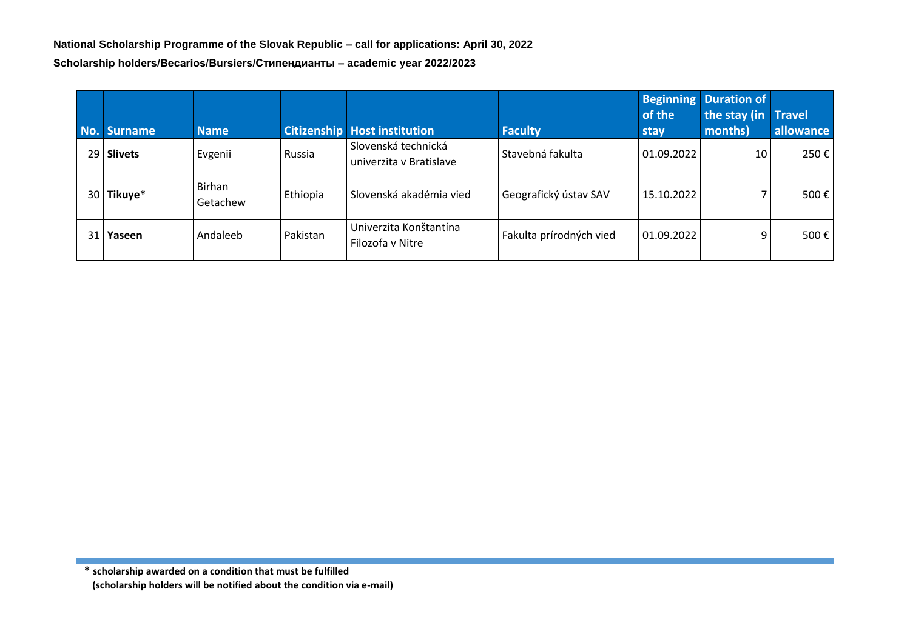| No.             | <b>Surname</b> | <b>Name</b>        |          | <b>Citizenship Host institution</b>            | <b>Faculty</b>          | <b>Beginning</b><br>of the<br>stay | <b>Duration of</b><br>the stay (in<br>months) | <b>Travel</b><br>allowance |
|-----------------|----------------|--------------------|----------|------------------------------------------------|-------------------------|------------------------------------|-----------------------------------------------|----------------------------|
|                 | 29 Slivets     | Evgenii            | Russia   | Slovenská technická<br>univerzita y Bratislave | Stavebná fakulta        | $ 01.09.2022\rangle$               | 10                                            | 250€                       |
| 30 <sup>1</sup> | Tikuye*        | Birhan<br>Getachew | Ethiopia | Slovenská akadémia vied                        | Geografický ústav SAV   | 15.10.2022                         |                                               | 500€                       |
| 31              | Yaseen         | Andaleeb           | Pakistan | Univerzita Konštantína<br>Filozofa v Nitre     | Fakulta prírodných vied | 01.09.2022                         | 9                                             | 500 $\varepsilon$          |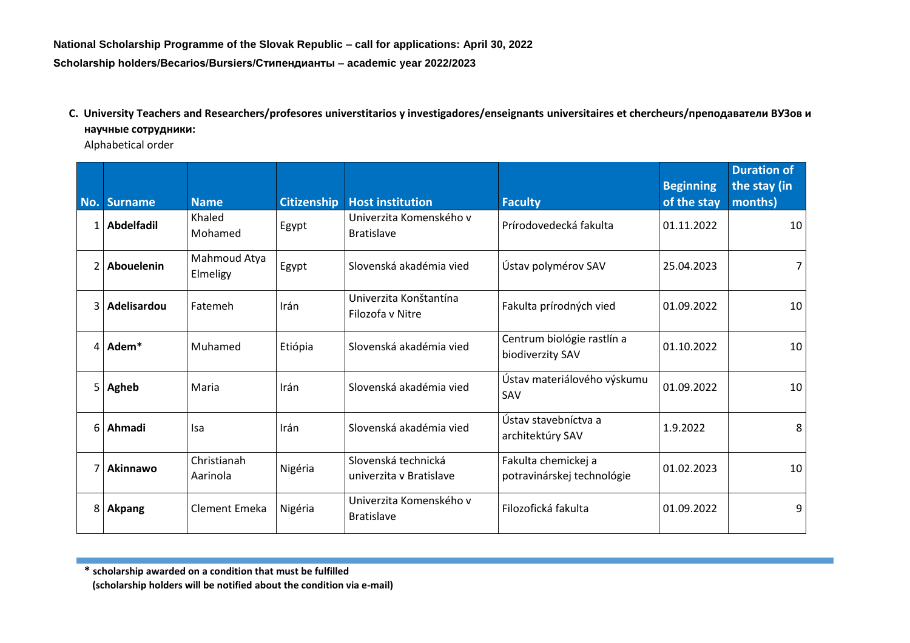## **C. University Teachers and Researchers/profesores universtitarios y investigadores/enseignants universitaires et chercheurs/преподаватели ВУЗов и научные сотрудники:**

Alphabetical order

| No.            | <b>Surname</b> | <b>Name</b>              | <b>Citizenship</b> | <b>Host institution</b>                        | <b>Faculty</b>                                    | <b>Beginning</b><br>of the stay | <b>Duration of</b><br>the stay (in<br>months) |
|----------------|----------------|--------------------------|--------------------|------------------------------------------------|---------------------------------------------------|---------------------------------|-----------------------------------------------|
| $\mathbf{1}$   | Abdelfadil     | Khaled<br>Mohamed        | Egypt              | Univerzita Komenského v<br><b>Bratislave</b>   | Prírodovedecká fakulta                            | 01.11.2022                      | 10                                            |
| $\overline{2}$ | Abouelenin     | Mahmoud Atya<br>Elmeligy | Egypt              | Slovenská akadémia vied                        | Ústav polymérov SAV                               | 25.04.2023                      | 7                                             |
| 3              | Adelisardou    | Fatemeh                  | Irán               | Univerzita Konštantína<br>Filozofa v Nitre     | Fakulta prírodných vied                           | 01.09.2022                      | 10                                            |
| $\overline{4}$ | Adem*          | Muhamed                  | Etiópia            | Slovenská akadémia vied                        | Centrum biológie rastlín a<br>biodiverzity SAV    | 01.10.2022                      | 10                                            |
| 5              | Agheb          | Maria                    | Irán               | Slovenská akadémia vied                        | Ústav materiálového výskumu<br>SAV                | 01.09.2022                      | 10                                            |
| 6              | Ahmadi         | <b>Isa</b>               | Irán               | Slovenská akadémia vied                        | Ústav stavebníctva a<br>architektúry SAV          | 1.9.2022                        | 8                                             |
|                | Akinnawo       | Christianah<br>Aarinola  | Nigéria            | Slovenská technická<br>univerzita y Bratislave | Fakulta chemickej a<br>potravinárskej technológie | 01.02.2023                      | 10                                            |
| 8              | <b>Akpang</b>  | Clement Emeka            | Nigéria            | Univerzita Komenského v<br><b>Bratislave</b>   | Filozofická fakulta                               | 01.09.2022                      | 9                                             |

**\* scholarship awarded on a condition that must be fulfilled**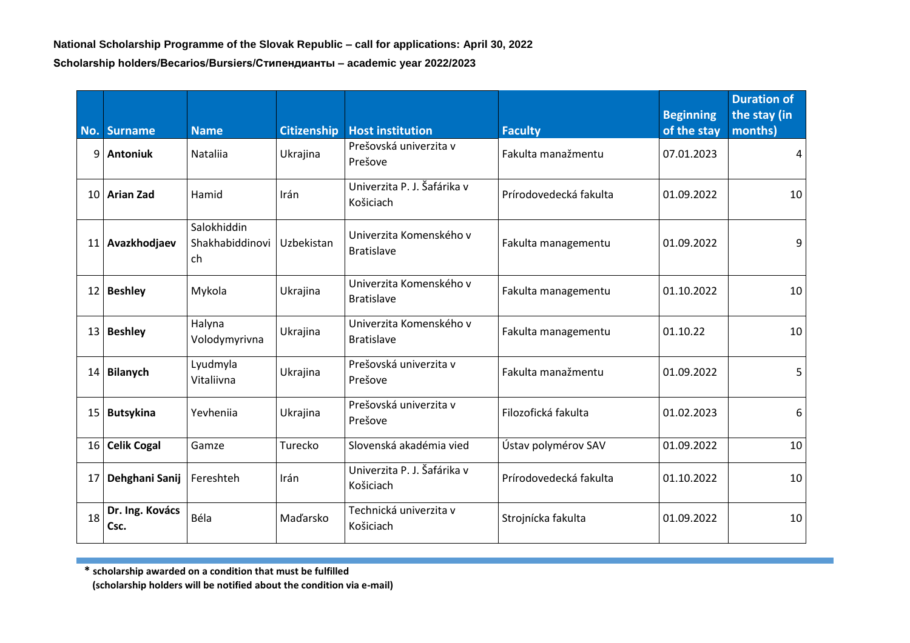|                 | No. Surname             | <b>Name</b>                          | <b>Citizenship</b> | <b>Host institution</b>                      | <b>Faculty</b>         | <b>Beginning</b><br>of the stay | <b>Duration of</b><br>the stay (in<br>months) |
|-----------------|-------------------------|--------------------------------------|--------------------|----------------------------------------------|------------------------|---------------------------------|-----------------------------------------------|
| 9               | <b>Antoniuk</b>         | Nataliia                             | Ukrajina           | Prešovská univerzita v<br>Prešove            | Fakulta manažmentu     | 07.01.2023                      | 4                                             |
|                 | 10 Arian Zad            | Hamid                                | Irán               | Univerzita P. J. Šafárika v<br>Košiciach     | Prírodovedecká fakulta | 01.09.2022                      | 10                                            |
|                 | 11 Avazkhodjaev         | Salokhiddin<br>Shakhabiddinovi<br>ch | Uzbekistan         | Univerzita Komenského v<br><b>Bratislave</b> | Fakulta managementu    | 01.09.2022                      | 9                                             |
|                 | 12 Beshley              | Mykola                               | Ukrajina           | Univerzita Komenského v<br><b>Bratislave</b> | Fakulta managementu    | 01.10.2022                      | 10                                            |
|                 | 13 Beshley              | Halyna<br>Volodymyrivna              | Ukrajina           | Univerzita Komenského v<br><b>Bratislave</b> | Fakulta managementu    | 01.10.22                        | 10                                            |
| 14 <sup>1</sup> | Bilanych                | Lyudmyla<br>Vitaliivna               | Ukrajina           | Prešovská univerzita v<br>Prešove            | Fakulta manažmentu     | 01.09.2022                      | 5                                             |
|                 | 15 Butsykina            | Yevheniia                            | Ukrajina           | Prešovská univerzita v<br>Prešove            | Filozofická fakulta    | 01.02.2023                      | 6                                             |
| 16 <sup>1</sup> | <b>Celik Cogal</b>      | Gamze                                | Turecko            | Slovenská akadémia vied                      | Ústav polymérov SAV    | 01.09.2022                      | 10                                            |
| 17              | Dehghani Sanij          | Fereshteh                            | Irán               | Univerzita P. J. Šafárika v<br>Košiciach     | Prírodovedecká fakulta | 01.10.2022                      | 10                                            |
| 18              | Dr. Ing. Kovács<br>Csc. | Béla                                 | Maďarsko           | Technická univerzita v<br>Košiciach          | Strojnícka fakulta     | 01.09.2022                      | 10                                            |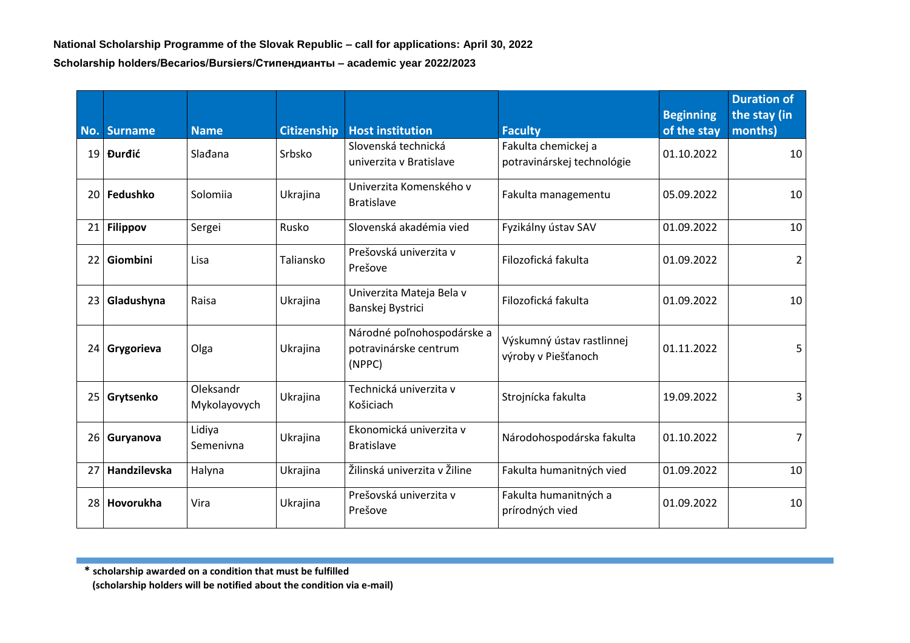|    | No. Surname      | <b>Name</b>               | <b>Citizenship</b> | <b>Host institution</b>                                       | <b>Faculty</b>                                    | <b>Beginning</b><br>of the stay | <b>Duration of</b><br>the stay (in<br>months) |
|----|------------------|---------------------------|--------------------|---------------------------------------------------------------|---------------------------------------------------|---------------------------------|-----------------------------------------------|
|    | 19 <b>Đurđić</b> | Slađana                   | Srbsko             | Slovenská technická<br>univerzita v Bratislave                | Fakulta chemickej a<br>potravinárskej technológie | 01.10.2022                      | 10                                            |
|    | 20 Fedushko      | Solomiia                  | Ukrajina           | Univerzita Komenského v<br><b>Bratislave</b>                  | Fakulta managementu                               | 05.09.2022                      | 10                                            |
| 21 | <b>Filippov</b>  | Sergei                    | Rusko              | Slovenská akadémia vied                                       | Fyzikálny ústav SAV                               | 01.09.2022                      | 10                                            |
|    | 22 Giombini      | Lisa                      | Taliansko          | Prešovská univerzita v<br>Prešove                             | Filozofická fakulta                               | 01.09.2022                      | 2                                             |
|    | 23 Gladushyna    | Raisa                     | Ukrajina           | Univerzita Mateja Bela v<br>Banskej Bystrici                  | Filozofická fakulta                               | 01.09.2022                      | 10                                            |
|    | 24 Grygorieva    | Olga                      | Ukrajina           | Národné poľnohospodárske a<br>potravinárske centrum<br>(NPPC) | Výskumný ústav rastlinnej<br>výroby v Piešťanoch  | 01.11.2022                      | 5                                             |
|    | 25 Grytsenko     | Oleksandr<br>Mykolayovych | Ukrajina           | Technická univerzita v<br>Košiciach                           | Strojnícka fakulta                                | 19.09.2022                      | 3                                             |
|    | 26 Guryanova     | Lidiya<br>Semenivna       | Ukrajina           | Ekonomická univerzita v<br><b>Bratislave</b>                  | Národohospodárska fakulta                         | 01.10.2022                      | 7                                             |
| 27 | Handzilevska     | Halyna                    | Ukrajina           | Žilinská univerzita v Žiline                                  | Fakulta humanitných vied                          | 01.09.2022                      | 10                                            |
| 28 | Hovorukha        | Vira                      | Ukrajina           | Prešovská univerzita v<br>Prešove                             | Fakulta humanitných a<br>prírodných vied          | 01.09.2022                      | 10                                            |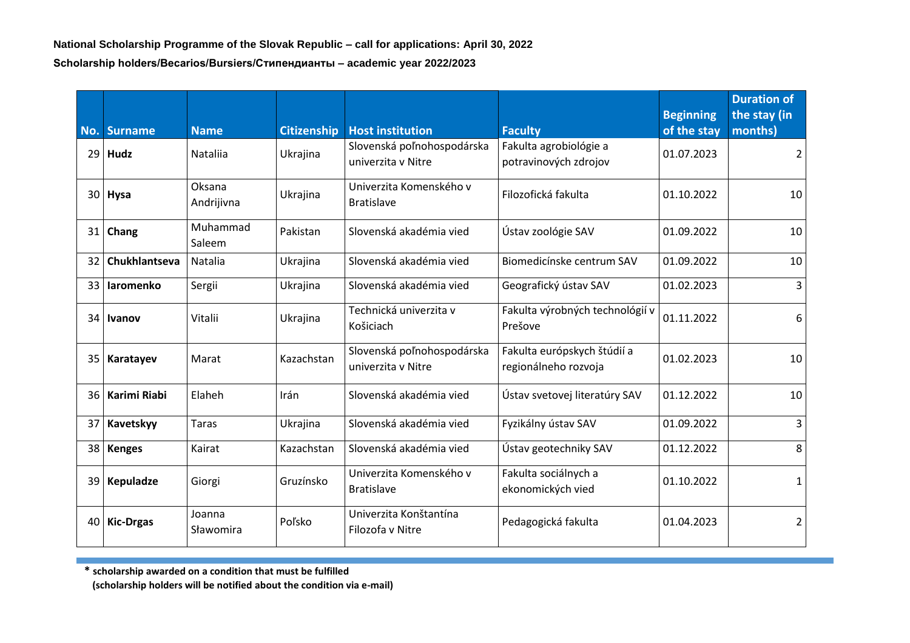|      | No. Surname    | <b>Name</b>          | <b>Citizenship</b> | <b>Host institution</b>                          | <b>Faculty</b>                                      | <b>Beginning</b><br>of the stay | <b>Duration of</b><br>the stay (in<br>months) |
|------|----------------|----------------------|--------------------|--------------------------------------------------|-----------------------------------------------------|---------------------------------|-----------------------------------------------|
|      | $29$ Hudz      | <b>Natalija</b>      | Ukrajina           | Slovenská poľnohospodárska<br>univerzita v Nitre | Fakulta agrobiológie a<br>potravinových zdrojov     | 01.07.2023                      | 2                                             |
|      | 30 Hysa        | Oksana<br>Andrijivna | Ukrajina           | Univerzita Komenského v<br><b>Bratislave</b>     | Filozofická fakulta                                 | 01.10.2022                      | 10                                            |
|      | $31$ Chang     | Muhammad<br>Saleem   | Pakistan           | Slovenská akadémia vied                          | Ústav zoológie SAV                                  | 01.09.2022                      | 10                                            |
| 32   | Chukhlantseva  | Natalia              | Ukrajina           | Slovenská akadémia vied                          | Biomedicínske centrum SAV                           | 01.09.2022                      | 10                                            |
|      | 33 laromenko   | Sergii               | Ukrajina           | Slovenská akadémia vied                          | Geografický ústav SAV                               | 01.02.2023                      | $\overline{3}$                                |
|      | 34 Ivanov      | Vitalii              | Ukrajina           | Technická univerzita v<br>Košiciach              | Fakulta výrobných technológií v<br>Prešove          | 01.11.2022                      | 6                                             |
|      | 35   Karatayev | Marat                | Kazachstan         | Slovenská poľnohospodárska<br>univerzita v Nitre | Fakulta európskych štúdií a<br>regionálneho rozvoja | 01.02.2023                      | 10                                            |
| 36 I | Karimi Riabi   | Elaheh               | Irán               | Slovenská akadémia vied                          | Ústav svetovej literatúry SAV                       | 01.12.2022                      | 10                                            |
| 37   | Kavetskyy      | Taras                | Ukrajina           | Slovenská akadémia vied                          | Fyzikálny ústav SAV                                 | 01.09.2022                      | 3                                             |
| 38   | <b>Kenges</b>  | Kairat               | Kazachstan         | Slovenská akadémia vied                          | Ústav geotechniky SAV                               | 01.12.2022                      | 8                                             |
|      | 39 Kepuladze   | Giorgi               | Gruzínsko          | Univerzita Komenského v<br><b>Bratislave</b>     | Fakulta sociálnych a<br>ekonomických vied           | 01.10.2022                      | $\mathbf{1}$                                  |
|      | 40 Kic-Drgas   | Joanna<br>Sławomira  | Poľsko             | Univerzita Konštantína<br>Filozofa v Nitre       | Pedagogická fakulta                                 | 01.04.2023                      | $\overline{2}$                                |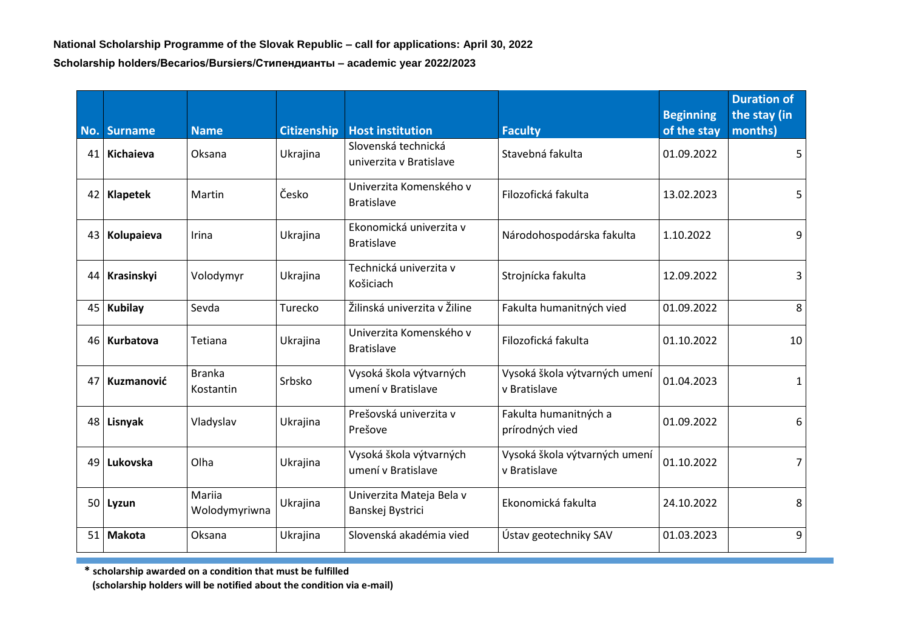|                 | No. Surname      | <b>Name</b>                | <b>Citizenship</b> | <b>Host institution</b>                        | <b>Faculty</b>                                | <b>Beginning</b><br>of the stay | <b>Duration of</b><br>the stay (in<br>months) |
|-----------------|------------------|----------------------------|--------------------|------------------------------------------------|-----------------------------------------------|---------------------------------|-----------------------------------------------|
| 41 <sup>1</sup> | <b>Kichaieva</b> | Oksana                     | Ukrajina           | Slovenská technická<br>univerzita v Bratislave | Stavebná fakulta                              | 01.09.2022                      | 5                                             |
|                 | 42 Klapetek      | Martin                     | Česko              | Univerzita Komenského v<br><b>Bratislave</b>   | Filozofická fakulta                           | 13.02.2023                      | 5                                             |
|                 | 43 Kolupaieva    | Irina                      | Ukrajina           | Ekonomická univerzita v<br><b>Bratislave</b>   | Národohospodárska fakulta                     | 1.10.2022                       | 9                                             |
|                 | 44 Krasinskyi    | Volodymyr                  | Ukrajina           | Technická univerzita v<br>Košiciach            | Strojnícka fakulta                            | 12.09.2022                      | 3                                             |
|                 | 45 Kubilay       | Sevda                      | Turecko            | Žilinská univerzita v Žiline                   | Fakulta humanitných vied                      | 01.09.2022                      | 8                                             |
|                 | 46 Kurbatova     | Tetiana                    | Ukrajina           | Univerzita Komenského v<br><b>Bratislave</b>   | Filozofická fakulta                           | 01.10.2022                      | 10                                            |
| 47              | Kuzmanović       | <b>Branka</b><br>Kostantin | Srbsko             | Vysoká škola výtvarných<br>umení v Bratislave  | Vysoká škola výtvarných umení<br>v Bratislave | 01.04.2023                      | 1                                             |
|                 | 48 Lisnyak       | Vladyslav                  | Ukrajina           | Prešovská univerzita v<br>Prešove              | Fakulta humanitných a<br>prírodných vied      | 01.09.2022                      | 6                                             |
|                 | 49 Lukovska      | Olha                       | Ukrajina           | Vysoká škola výtvarných<br>umení v Bratislave  | Vysoká škola výtvarných umení<br>v Bratislave | 01.10.2022                      | $\overline{7}$                                |
|                 | $50$ Lyzun       | Mariia<br>Wolodymyriwna    | Ukrajina           | Univerzita Mateja Bela v<br>Banskej Bystrici   | Ekonomická fakulta                            | 24.10.2022                      | 8                                             |
| 51              | <b>Makota</b>    | Oksana                     | Ukrajina           | Slovenská akadémia vied                        | Ústav geotechniky SAV                         | 01.03.2023                      | 9                                             |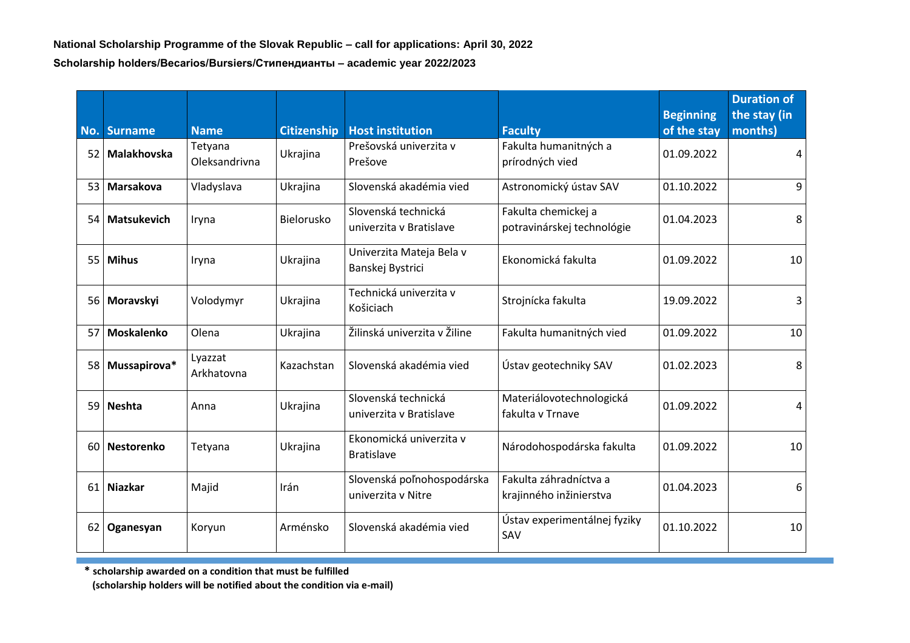|     | No. Surname        | <b>Name</b>              | <b>Citizenship</b> | <b>Host institution</b>                          | <b>Faculty</b>                                    | <b>Beginning</b><br>of the stay | <b>Duration of</b><br>the stay (in<br>months) |
|-----|--------------------|--------------------------|--------------------|--------------------------------------------------|---------------------------------------------------|---------------------------------|-----------------------------------------------|
| 521 | <b>Malakhovska</b> | Tetyana<br>Oleksandrivna | Ukrajina           | Prešovská univerzita v<br>Prešove                | Fakulta humanitných a<br>prírodných vied          | 01.09.2022                      | 4                                             |
| 531 | Marsakova          | Vladyslava               | Ukrajina           | Slovenská akadémia vied                          | Astronomický ústav SAV                            | 01.10.2022                      | 9                                             |
|     | 54   Matsukevich   | Iryna                    | Bielorusko         | Slovenská technická<br>univerzita y Bratislave   | Fakulta chemickej a<br>potravinárskej technológie | 01.04.2023                      | 8                                             |
|     | 55 Mihus           | Iryna                    | Ukrajina           | Univerzita Mateja Bela v<br>Banskej Bystrici     | Ekonomická fakulta                                | 01.09.2022                      | 10                                            |
|     | 56 Moravskyi       | Volodymyr                | Ukrajina           | Technická univerzita v<br>Košiciach              | Strojnícka fakulta                                | 19.09.2022                      | 3                                             |
| 57  | Moskalenko         | Olena                    | Ukrajina           | Žilinská univerzita v Žiline                     | Fakulta humanitných vied                          | 01.09.2022                      | 10                                            |
|     | 58 Mussapirova*    | Lyazzat<br>Arkhatovna    | Kazachstan         | Slovenská akadémia vied                          | Ústav geotechniky SAV                             | 01.02.2023                      | 8                                             |
|     | 59 Neshta          | Anna                     | Ukrajina           | Slovenská technická<br>univerzita v Bratislave   | Materiálovotechnologická<br>fakulta v Trnave      | 01.09.2022                      | 4                                             |
|     | 60   Nestorenko    | Tetyana                  | Ukrajina           | Ekonomická univerzita v<br><b>Bratislave</b>     | Národohospodárska fakulta                         | 01.09.2022                      | 10                                            |
|     | 61 Niazkar         | Majid                    | Irán               | Slovenská poľnohospodárska<br>univerzita v Nitre | Fakulta záhradníctva a<br>krajinného inžinierstva | 01.04.2023                      | 6                                             |
|     | 62 Oganesyan       | Koryun                   | Arménsko           | Slovenská akadémia vied                          | Ústav experimentálnej fyziky<br>SAV               | 01.10.2022                      | 10                                            |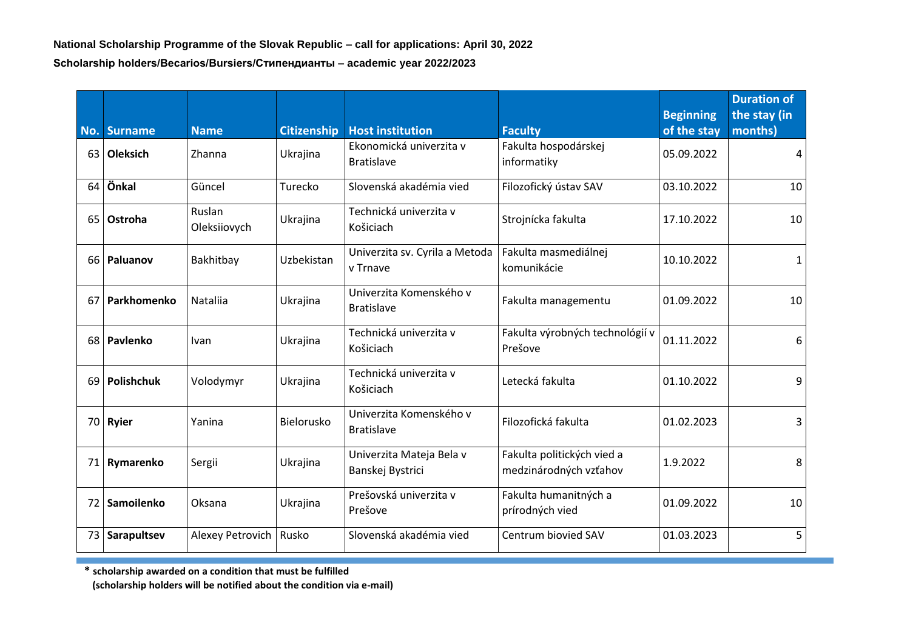|      | No. Surname       | <b>Name</b>            | <b>Citizenship</b> | <b>Host institution</b>                      | <b>Faculty</b>                                       | <b>Beginning</b><br>of the stay | <b>Duration of</b><br>the stay (in<br>months) |
|------|-------------------|------------------------|--------------------|----------------------------------------------|------------------------------------------------------|---------------------------------|-----------------------------------------------|
| 63   | <b>Oleksich</b>   | Zhanna                 | Ukrajina           | Ekonomická univerzita v<br><b>Bratislave</b> | Fakulta hospodárskej<br>informatiky                  | 05.09.2022                      | 4                                             |
| 64   | Önkal             | Güncel                 | Turecko            | Slovenská akadémia vied                      | Filozofický ústav SAV                                | 03.10.2022                      | 10                                            |
| 65   | <b>Ostroha</b>    | Ruslan<br>Oleksiiovych | Ukrajina           | Technická univerzita v<br>Košiciach          | Strojnícka fakulta                                   | 17.10.2022                      | 10                                            |
|      | 66   Paluanov     | Bakhitbay              | Uzbekistan         | Univerzita sv. Cyrila a Metoda<br>v Trnave   | Fakulta masmediálnej<br>komunikácie                  | 10.10.2022                      | 1                                             |
| 67   | Parkhomenko       | <b>Natalija</b>        | Ukrajina           | Univerzita Komenského v<br><b>Bratislave</b> | Fakulta managementu                                  | 01.09.2022                      | 10                                            |
| 68 l | Pavlenko          | Ivan                   | Ukrajina           | Technická univerzita v<br>Košiciach          | Fakulta výrobných technológií v<br>Prešove           | 01.11.2022                      | 6                                             |
| 69 I | Polishchuk        | Volodymyr              | Ukrajina           | Technická univerzita v<br>Košiciach          | Letecká fakulta                                      | 01.10.2022                      | 9                                             |
|      | 70 Ryier          | Yanina                 | Bielorusko         | Univerzita Komenského v<br><b>Bratislave</b> | Filozofická fakulta                                  | 01.02.2023                      | 3                                             |
|      | 71 Rymarenko      | Sergii                 | Ukrajina           | Univerzita Mateja Bela v<br>Banskej Bystrici | Fakulta politických vied a<br>medzinárodných vzťahov | 1.9.2022                        | 8                                             |
| 72 I | <b>Samoilenko</b> | Oksana                 | Ukrajina           | Prešovská univerzita v<br>Prešove            | Fakulta humanitných a<br>prírodných vied             | 01.09.2022                      | 10                                            |
|      | 73 Sarapultsev    | Alexey Petrovich       | Rusko              | Slovenská akadémia vied                      | Centrum biovied SAV                                  | 01.03.2023                      | 5                                             |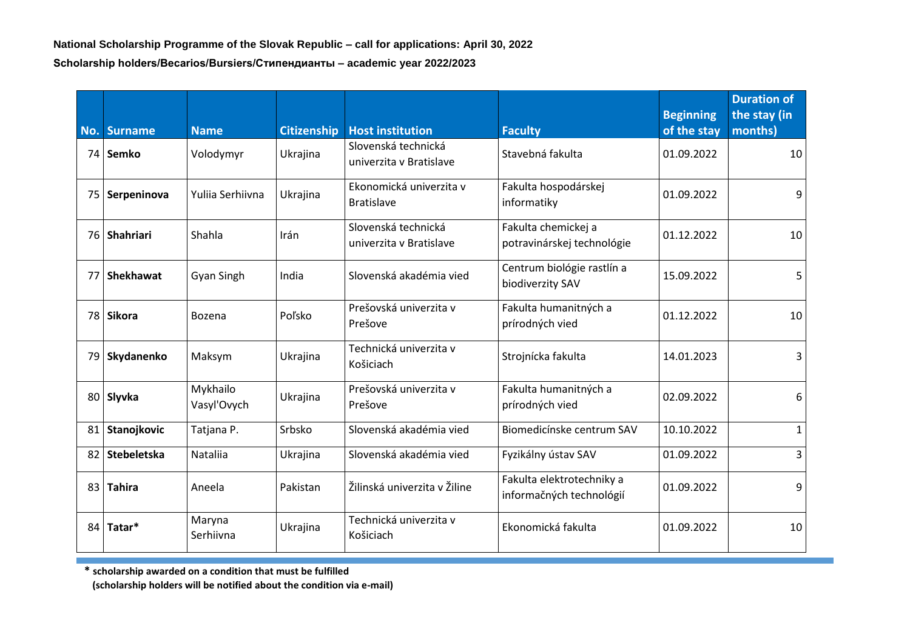| No.  | <b>Surname</b>   | <b>Name</b>             | <b>Citizenship</b> | <b>Host institution</b>                        | <b>Faculty</b>                                        | <b>Beginning</b><br>of the stay | <b>Duration of</b><br>the stay (in<br>months) |
|------|------------------|-------------------------|--------------------|------------------------------------------------|-------------------------------------------------------|---------------------------------|-----------------------------------------------|
|      | 74   Semko       | Volodymyr               | Ukrajina           | Slovenská technická<br>univerzita v Bratislave | Stavebná fakulta                                      | 01.09.2022                      | 10                                            |
|      | 75 Serpeninova   | Yulija Serhijvna        | Ukrajina           | Ekonomická univerzita v<br><b>Bratislave</b>   | Fakulta hospodárskej<br>informatiky                   | 01.09.2022                      | 9                                             |
|      | 76 Shahriari     | Shahla                  | Irán               | Slovenská technická<br>univerzita v Bratislave | Fakulta chemickej a<br>potravinárskej technológie     | 01.12.2022                      | 10                                            |
| 77 I | <b>Shekhawat</b> | Gyan Singh              | India              | Slovenská akadémia vied                        | Centrum biológie rastlín a<br>biodiverzity SAV        | 15.09.2022                      | 5                                             |
|      | 78 Sikora        | Bozena                  | Poľsko             | Prešovská univerzita v<br>Prešove              | Fakulta humanitných a<br>prírodných vied              | 01.12.2022                      | 10                                            |
|      | 79 Skydanenko    | Maksym                  | Ukrajina           | Technická univerzita v<br>Košiciach            | Strojnícka fakulta                                    | 14.01.2023                      | 3                                             |
|      | 80 Slyvka        | Mykhailo<br>Vasyl'Ovych | Ukrajina           | Prešovská univerzita v<br>Prešove              | Fakulta humanitných a<br>prírodných vied              | 02.09.2022                      | 6                                             |
| 81   | Stanojkovic      | Tatjana P.              | Srbsko             | Slovenská akadémia vied                        | Biomedicínske centrum SAV                             | 10.10.2022                      | $\mathbf{1}$                                  |
|      | 82 Stebeletska   | Nataliia                | Ukrajina           | Slovenská akadémia vied                        | Fyzikálny ústav SAV                                   | 01.09.2022                      | 3                                             |
|      | 83 Tahira        | Aneela                  | Pakistan           | Žilinská univerzita v Žiline                   | Fakulta elektrotechniky a<br>informačných technológií | 01.09.2022                      | 9                                             |
|      | 84 Tatar*        | Maryna<br>Serhiivna     | Ukrajina           | Technická univerzita v<br>Košiciach            | Ekonomická fakulta                                    | 01.09.2022                      | 10                                            |